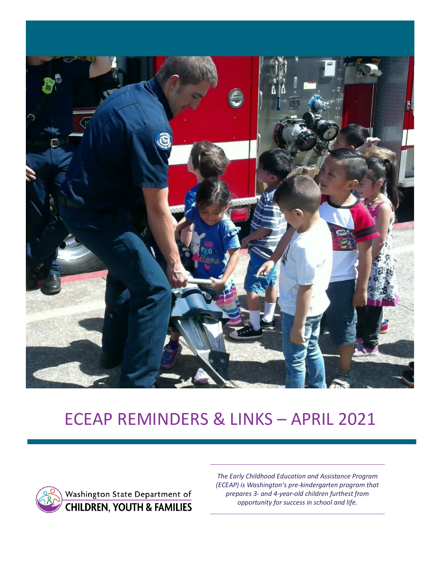

# ECEAP REMINDERS & LINKS – APRIL 2021



*The Early Childhood Education and Assistance Program (ECEAP) is Washington's pre-kindergarten program that prepares 3- and 4-year-old children furthest from opportunity for success in school and life.*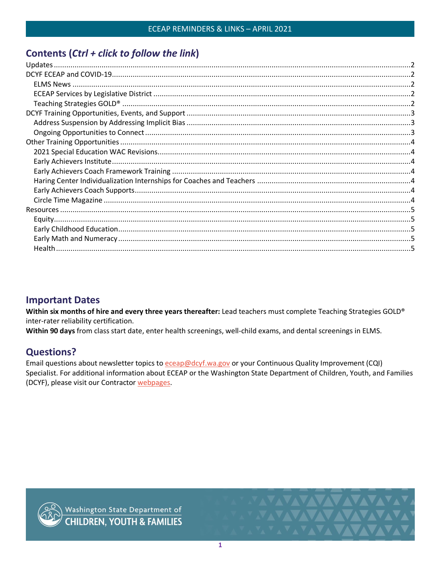# Contents (Ctrl + click to follow the link)

# **Important Dates**

Within six months of hire and every three years thereafter: Lead teachers must complete Teaching Strategies GOLD® inter-rater reliability certification.

Within 90 days from class start date, enter health screenings, well-child exams, and dental screenings in ELMS.

# **Questions?**

<span id="page-1-0"></span>Email questions about newsletter topics to eceap@dcyf.wa.gov or your Continuous Quality Improvement (CQI) Specialist. For additional information about ECEAP or the Washington State Department of Children, Youth, and Families (DCYF), please visit our Contractor webpages.



Washington State Department of<br>CHILDREN, YOUTH & FAMILIES

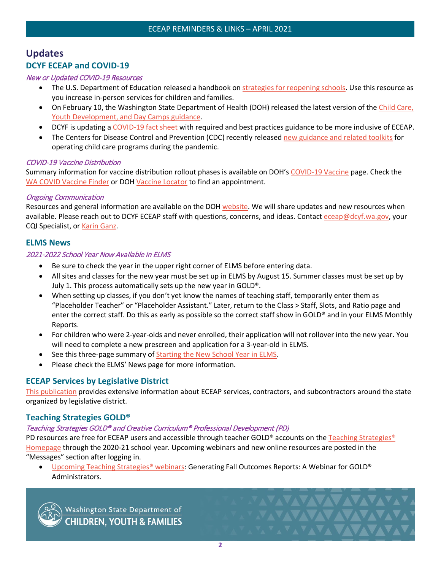# <span id="page-2-0"></span>**Updates DCYF ECEAP and COVID-19**

#### New or Updated COVID-19 Resources

- The U.S. Department of Education released a handbook on [strategies for reopening schools.](https://www2.ed.gov/documents/coronavirus/reopening.pdf?utm_content=&utm_medium=email&utm_name=&utm_source=govdelivery&utm_term=) Use this resource as you increase in-person services for children and families.
- On February 10, the Washington State Department of Health (DOH) released the latest version of the [Child Care,](https://www.doh.wa.gov/Portals/1/Documents/1600/coronavirus/DOH-OSPI-DYCF-SchoolsChildCareGuidance.pdf)  [Youth Development, and Day Camps](https://www.doh.wa.gov/Portals/1/Documents/1600/coronavirus/DOH-OSPI-DYCF-SchoolsChildCareGuidance.pdf) guidance.
- DCYF is updating a [COVID-19 fact sheet](https://www.dcyf.wa.gov/sites/default/files/pubs/EPS_0032.pdf) with required and best practices guidance to be more inclusive of ECEAP.
- The Centers for Disease Control and Prevention (CDC) recently released [new guidance and related toolkits](https://www.cdc.gov/coronavirus/2019-ncov/community/schools-childcare/guidance-for-childcare.html) for operating child care programs during the pandemic.

#### COVID-19 Vaccine Distribution

Summary information for vaccine distribution rollout phases is available on DOH's [COVID-19 Vaccine](https://www.doh.wa.gov/Emergencies/COVID19/Vaccine) page. Check the [WA COVID Vaccine Finder](https://www.covidwa.com/) or DOH [Vaccine Locator](https://vaccinelocator.doh.wa.gov/) to find an appointment.

#### Ongoing Communication

Resources and general information are available on the DOH [website.](https://www.doh.wa.gov/Emergencies/COVID19) We will share updates and new resources when available. Please reach out to DCYF ECEAP staff with questions, concerns, and ideas. Contact [eceap@dcyf.wa.gov,](mailto:eceap@dcyf.wa.gov) your CQI Specialist, o[r Karin Ganz.](mailto:karin.ganz@dcyf.wa.gov)

## <span id="page-2-1"></span>**ELMS News**

#### 2021-2022 School Year Now Available in ELMS

- Be sure to check the year in the upper right corner of ELMS before entering data.
- All sites and classes for the new year must be set up in ELMS by August 15. Summer classes must be set up by July 1. This process automatically sets up the new year in GOLD®.
- When setting up classes, if you don't yet know the names of teaching staff, temporarily enter them as "Placeholder Teacher" or "Placeholder Assistant." Later, return to the Class > Staff, Slots, and Ratio page and enter the correct staff. Do this as early as possible so the correct staff show in GOLD® and in your ELMS Monthly Reports.
- For children who were 2-year-olds and never enrolled, their application will not rollover into the new year. You will need to complete a new prescreen and application for a 3-year-old in ELMS.
- See this three-page summary of [Starting the New School Year](https://www.dcyf.wa.gov/sites/default/files/pdf/Starting_the_New_School_Year_in_ELMS.pdf) in ELMS.
- Please check the ELMS' News page for more information.

## <span id="page-2-2"></span>**ECEAP Services by Legislative District**

[This publication](https://www.dcyf.wa.gov/sites/default/files/pubs/EL_0024.pdf) provides extensive information about ECEAP services, contractors, and subcontractors around the state organized by legislative district.

## <span id="page-2-3"></span>**Teaching Strategies GOLD®**

#### Teaching Strategies GOLD® and Creative Curriculum® Professional Development (PD)

PD resources are free for ECEAP users and accessible through teacher GOLD® accounts on the [Teaching Strategies®](https://teachingstrategies.com/) [Homepage](https://teachingstrategies.com/) through the 2020-21 school year. Upcoming webinars and new online resources are posted in the "Messages" section after logging in.

• [Upcoming Teaching Strategies®](https://teachingstrategies.force.com/portal/s/webinars) webinars: Generating Fall Outcomes Reports: A Webinar for GOLD® Administrators.



Washington State Department of<br>CHILDREN, YOUTH & FAMILIES

**VAVAVAVAVAV**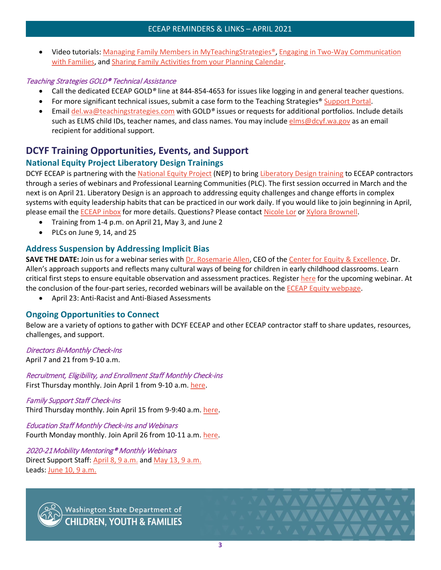• Video tutorials: [Managing Family Members in MyTeachingStrategies®,](https://teachingstrategies.force.com/portal/s/article/Video-Managing-Family-Members-in-MyTeachingStrategies?mkt_tok=eyJpIjoiT0dRNU5EWmxNVE5pTUdZNCIsInQiOiI0MDBFc2paY1NEclJsOFBNS3FpODFvWVcyakRLMVd1UTV1QXlKdFZwMHBENk1ERUlpVGFxSk9UWHJNMnArT1JJSE4xejBtZ3R4Mzd6R0d4YWFjazJ2bkRFc1dRTGJaaTJJaWNIaW9KOGhIcjdmQStHekFNWWRkQUZINlhpZkJaNSJ9) [Engaging in Two-Way Communication](https://teachingstrategies.force.com/portal/s/article/Video-Engaging-in-Two-Way-Communication-with-Families?mkt_tok=eyJpIjoiT0dRNU5EWmxNVE5pTUdZNCIsInQiOiI0MDBFc2paY1NEclJsOFBNS3FpODFvWVcyakRLMVd1UTV1QXlKdFZwMHBENk1ERUlpVGFxSk9UWHJNMnArT1JJSE4xejBtZ3R4Mzd6R0d4YWFjazJ2bkRFc1dRTGJaaTJJaWNIaW9KOGhIcjdmQStHekFNWWRkQUZINlhpZkJaNSJ9)  [with Families,](https://teachingstrategies.force.com/portal/s/article/Video-Engaging-in-Two-Way-Communication-with-Families?mkt_tok=eyJpIjoiT0dRNU5EWmxNVE5pTUdZNCIsInQiOiI0MDBFc2paY1NEclJsOFBNS3FpODFvWVcyakRLMVd1UTV1QXlKdFZwMHBENk1ERUlpVGFxSk9UWHJNMnArT1JJSE4xejBtZ3R4Mzd6R0d4YWFjazJ2bkRFc1dRTGJaaTJJaWNIaW9KOGhIcjdmQStHekFNWWRkQUZINlhpZkJaNSJ9) and [Sharing Family Activities from your Planning Calendar.](https://teachingstrategies.force.com/portal/s/article/Video-Sharing-Family-Activities-from-Your-Planning-Calendar?mkt_tok=eyJpIjoiT0dRNU5EWmxNVE5pTUdZNCIsInQiOiI0MDBFc2paY1NEclJsOFBNS3FpODFvWVcyakRLMVd1UTV1QXlKdFZwMHBENk1ERUlpVGFxSk9UWHJNMnArT1JJSE4xejBtZ3R4Mzd6R0d4YWFjazJ2bkRFc1dRTGJaaTJJaWNIaW9KOGhIcjdmQStHekFNWWRkQUZINlhpZkJaNSJ9)

## Teaching Strategies GOLD® Technical Assistance

- Call the dedicated ECEAP GOLD*®* line at 844-854-4653 for issues like logging in and general teacher questions.
- For more significant technical issues, submit a case form to the Teaching Strategies<sup>®</sup> [Support Portal.](https://teachingstrategies.force.com/portal/s/submit-a-case)
- Email [del.wa@teachingstrategies.com](mailto:del.wa@teachingstrategies.com) with GOLD*®* issues or requests for additional portfolios. Include details such as ELMS child IDs, teacher names, and class names. You may include [elms@dcyf.wa.gov](mailto:elms@dcyf.wa.gov) as an email recipient for additional support.

# <span id="page-3-0"></span>**DCYF Training Opportunities, Events, and Support**

# **National Equity Project Liberatory Design Trainings**

DCYF ECEAP is partnering with the [National Equity Project](https://www.nationalequityproject.org/) (NEP) to bring [Liberatory Design training](https://www.nationalequityproject.org/frameworks/liberatory-design#:%7E:text=Liberatory%20Design%20is%20an%20approach,those%20most%20impacted%20by%20oppression) to ECEAP contractors through a series of webinars and Professional Learning Communities (PLC). The first session occurred in March and the next is on April 21. Liberatory Design is an approach to addressing equity challenges and change efforts in complex systems with equity leadership habits that can be practiced in our work daily. If you would like to join beginning in April, please email the [ECEAP inbox](mailto:dcyf.eceap@dcyf.wa.gov) for more details. Questions? Please contact [Nicole Lor](mailto:Nicole.lor@dcyf.wa.gov) or [Xylora Brownell.](mailto:Xyzlora.brownell@dcyf.wa.gov)

- Training from 1-4 p.m. on April 21, May 3, and June 2
- PLCs on June 9, 14, and 25

# <span id="page-3-1"></span>**Address Suspension by Addressing Implicit Bias**

**SAVE THE DATE:** Join us for a webinar series with *Dr. Rosemarie Allen*, CEO of the *Center for Equity & Excellence*. Dr. Allen's approach supports and reflects many cultural ways of being for children in early childhood classrooms. Learn critical first steps to ensure equitable observation and assessment practices. Register [here](https://www.surveymonkey.com/r/VDP5RSL) for the upcoming webinar. At the conclusion of the four-part series, recorded webinars will be available on the [ECEAP Equity](https://www.dcyf.wa.gov/services/early-learning-providers/eceap/equity) webpage.

• April 23: Anti-Racist and Anti-Biased Assessments

# <span id="page-3-2"></span>**Ongoing Opportunities to Connect**

Below are a variety of options to gather with DCYF ECEAP and other ECEAP contractor staff to share updates, resources, challenges, and support.

#### Directors Bi-Monthly Check-Ins

April 7 and 21 from 9-10 a.m.

Recruitment, Eligibility, and Enrollment Staff Monthly Check-ins First Thursday monthly. Join April 1 from 9-10 a.m. [here.](https://dcyf.zoom.us/j/83018373566?pwd=RVlMVnlURlVCbVdmeG5NVHA5N0Jzdz09)

Family Support Staff Check-ins Third Thursday monthly. Join April 15 from 9-9:40 a.m. [here.](https://dcyf.zoom.us/j/94143055059?pwd=enJXaC9zcTNFaytnS3h6dVVWeUEzQT09)

Education Staff Monthly Check-ins and Webinars Fourth Monday monthly. Join April 26 from 10-11 a.m. [here.](https://dcyf.zoom.us/j/92705586444?pwd=STBSRGo0WnBsWC91ZmlMZC9kdzJGUT09)

2020-21Mobility Mentoring® Monthly Webinars Direct Support Staff: April [8, 9 a.m.](https://attendee.gotowebinar.com/register/5702908836440098063) and [May 13, 9 a.m.](https://attendee.gotowebinar.com/register/1407197171068013583) Leads: June [10, 9 a.m.](https://attendee.gotowebinar.com/register/8953468728929489677)



Washington State Department of<br>CHILDREN, YOUTH & FAMILIES

AVAVAVAVAVAV

**FAVAVAVAVAV**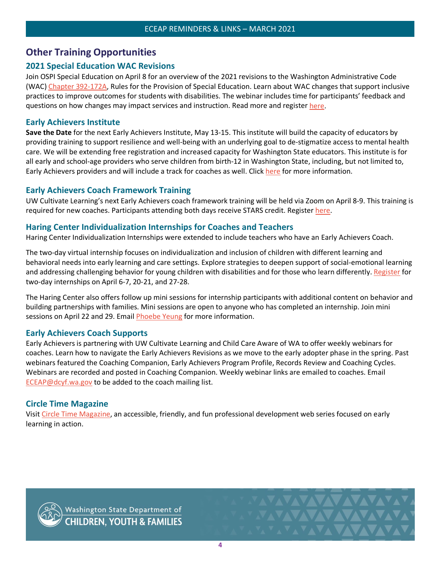# <span id="page-4-0"></span>**Other Training Opportunities**

# <span id="page-4-1"></span>**2021 Special Education WAC Revisions**

Join OSPI Special Education on April 8 for an overview of the 2021 revisions to the Washington Administrative Code (WAC[\) Chapter 392-172A,](https://apps.leg.wa.gov/wac/default.aspx?cite=392-172A) Rules for the Provision of Special Education. Learn about WAC changes that support inclusive practices to improve outcomes for students with disabilities. The webinar includes time for participants' feedback and questions on how changes may impact services and instruction. Read more and register [here.](https://www.pdenroller.org/esd171/catalog/event/111437)

# <span id="page-4-2"></span>**Early Achievers Institute**

**Save the Date** for the next Early Achievers Institute, May 13-15. This institute will build the capacity of educators by providing training to support resilience and well-being with an underlying goal to de-stigmatize access to mental health care. We will be extending free registration and increased capacity for Washington State educators. This institute is for all early and school-age providers who serve children from birth-12 in Washington State, including, but not limited to, Early Achievers providers and will include a track for coaches as well. Clic[k here](https://cdn1-originals.webdamdb.com/13012_119722176?cache=1616097595&response-content-disposition=inline;filename=Save%2520the%2520Date%2520Institute%2520flyer03.18%2520SB.pdf&response-content-type=application/pdf&Policy=eyJTdGF0ZW1lbnQiOlt7IlJlc291cmNlIjoiaHR0cCo6Ly9jZG4xLW9yaWdpbmFscy53ZWJkYW1kYi5jb20vMTMwMTJfMTE5NzIyMTc2P2NhY2hlPTE2MTYwOTc1OTUmcmVzcG9uc2UtY29udGVudC1kaXNwb3NpdGlvbj1pbmxpbmU7ZmlsZW5hbWU9U2F2ZSUyNTIwdGhlJTI1MjBEYXRlJTI1MjBJbnN0aXR1dGUlMjUyMGZseWVyMDMuMTglMjUyMFNCLnBkZiZyZXNwb25zZS1jb250ZW50LXR5cGU9YXBwbGljYXRpb24vcGRmIiwiQ29uZGl0aW9uIjp7IkRhdGVMZXNzVGhhbiI6eyJBV1M6RXBvY2hUaW1lIjoyMTQ3NDE0NDAwfX19XX0_&Signature=JUMl9wa0zw6mbayFrdMJwBt7F2aJWHrcMGrSAH9oHulyw9KOGYRhC9fzghqtKYBWeHoagi76UrijePy5WOSXoVzMXKspd3I-HoxiPJ1g%7EzfsiPKORVGDq1I76xupCTRjowhajdBcNLvxJXFCmD5jUPDf4xkiCdxDnbdux1ziW5hidzig90pLb9kVh6JUO2Su4LcnAicyRWs%7EWEmscdS2tseE9K0Z6npdOjl9I%7EbQ71HoG7mXBRNYKE3r8SqyxQqFC-NaFrAVt4YaWpaVtCkXw2ejZPVhEOx9H0I86lSPqy1KvN7-HqogkBQ9OB32B2-C08KoUuS3%7EAObXsEl4LkLEg__&Key-Pair-Id=APKAI2ASI2IOLRFF2RHA) for more information.

# <span id="page-4-3"></span>**Early Achievers Coach Framework Training**

UW Cultivate Learning's next Early Achievers coach framework training will be held via Zoom on April 8-9. This training is required for new coaches. Participants attending both days receive STARS credit. Register [here.](https://washington.zoom.us/meeting/register/tJcscO6tqj0rGdJAF_lPP-YT5ctAq2Ag1_4s)

## <span id="page-4-4"></span>**Haring Center Individualization Internships for Coaches and Teachers**

Haring Center Individualization Internships were extended to include teachers who have an Early Achievers Coach.

The two-day virtual internship focuses on individualization and inclusion of children with different learning and behavioral needs into early learning and care settings. Explore strategies to deepen support of social-emotional learning and addressing challenging behavior for young children with disabilities and for those who learn differently. [Register](https://docs.google.com/forms/d/e/1FAIpQLScC4-VghkVGlWPJhf9c9JuiuQaSe_xnzYXZQtG6xAEWCINtIw/viewform) for two-day internships on April 6-7, 20-21, and 27-28.

The Haring Center also offers follow up mini sessions for internship participants with additional content on behavior and building partnerships with families. Mini sessions are open to anyone who has completed an internship. Join mini sessions on April 22 and 29. Email [Phoebe Yeung](mailto:pcyeung@uw.edu) for more information.

# <span id="page-4-5"></span>**Early Achievers Coach Supports**

Early Achievers is partnering with UW Cultivate Learning and Child Care Aware of WA to offer weekly webinars for coaches. Learn how to navigate the Early Achievers Revisions as we move to the early adopter phase in the spring. Past webinars featured the Coaching Companion, Early Achievers Program Profile, Records Review and Coaching Cycles. Webinars are recorded and posted in Coaching Companion. Weekly webinar links are emailed to coaches. Email [ECEAP@dcyf.wa.gov](mailto:ECEAP@dcyf.wa.gov) to be added to the coach mailing list.

# <span id="page-4-6"></span>**Circle Time Magazine**

Visit [Circle Time Magazine,](https://cultivatelearning.uw.edu/circle-time-magazine/) an accessible, friendly, and fun professional development web series focused on early learning in action.



Washington State Department of<br>CHILDREN, YOUTH & FAMILIES

**VAVAVAVAVAV**